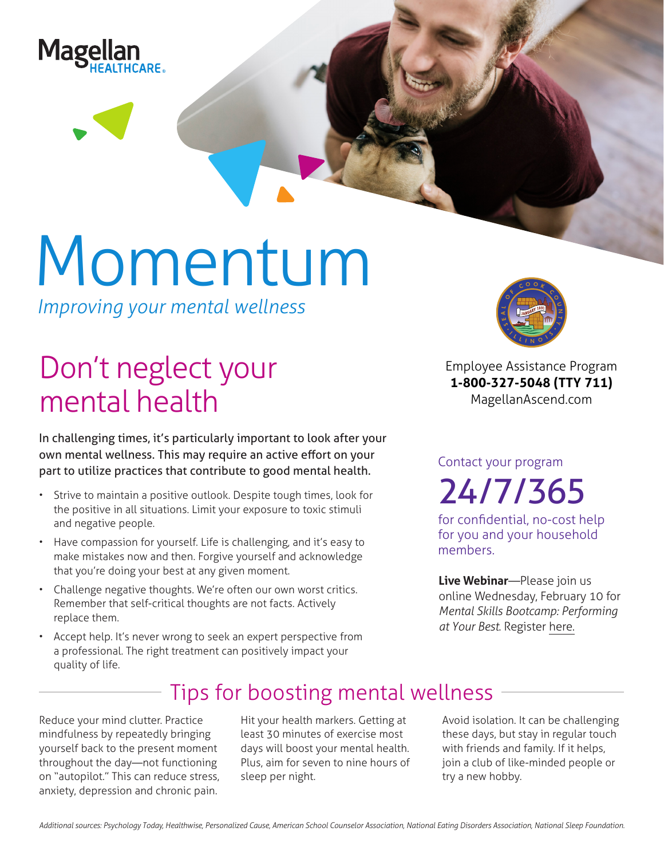

# Momentum

*Improving your mental wellness*

## Don't neglect your mental health

In challenging times, it's particularly important to look after your own mental wellness. This may require an active effort on your part to utilize practices that contribute to good mental health.

- Strive to maintain a positive outlook. Despite tough times, look for the positive in all situations. Limit your exposure to toxic stimuli and negative people.
- Have compassion for yourself. Life is challenging, and it's easy to make mistakes now and then. Forgive yourself and acknowledge that you're doing your best at any given moment.
- Challenge negative thoughts. We're often our own worst critics. Remember that self-critical thoughts are not facts. Actively replace them.
- Accept help. It's never wrong to seek an expert perspective from a professional. The right treatment can positively impact your quality of life.



**Employee Assistance Program 1-800-327-5048 (TTY 711) MagellanAscend.com**

Contact your program

24/7/365

for confidential, no-cost help for you and your household members.

**Live Webinar**—Please join us online Wednesday, February 10 for *Mental Skills Bootcamp: Performing at Your Best*. Register [here.](https://events-na4.adobeconnect.com/content/connect/c1/825364167/en/events/event/shared/default_template_simple/event_registration.html?sco-id=1842491418&_charset_=utf-8)

### Tips for boosting mental wellness

Reduce your mind clutter. Practice mindfulness by repeatedly bringing yourself back to the present moment throughout the day—not functioning on "autopilot." This can reduce stress, anxiety, depression and chronic pain.

Hit your health markers. Getting at least 30 minutes of exercise most days will boost your mental health. Plus, aim for seven to nine hours of sleep per night.

Avoid isolation. It can be challenging these days, but stay in regular touch with friends and family. If it helps, join a club of like-minded people or try a new hobby.